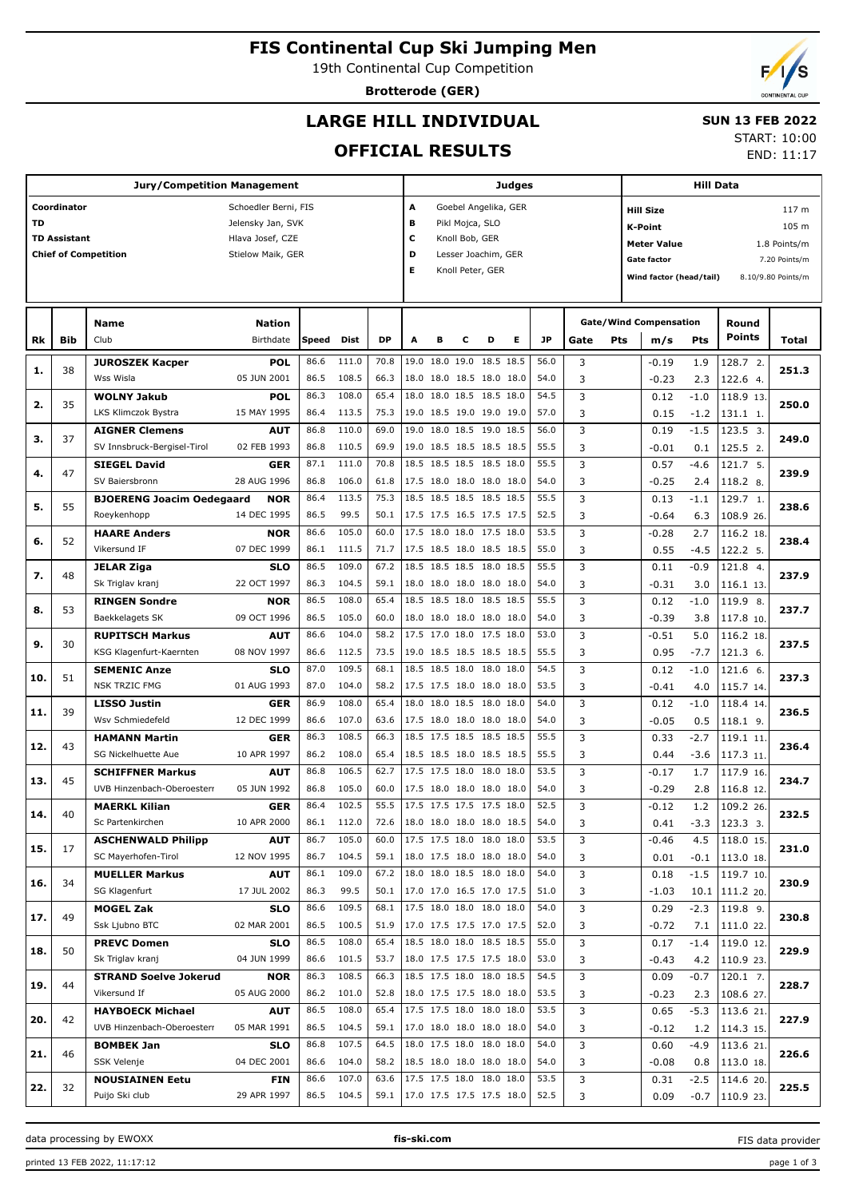## **FIS Continental Cup Ski Jumping Men**

19th Continental Cup Competition

**Brotterode (GER)**

# **LARGE HILL INDIVIDUAL**

#### **SUN 13 FEB 2022**

## **OFFICIAL RESULTS**

START: 10:00 END: 11:17

**Jury/Competition Management Coordinator** Schoedler Berni, FIS **TD** Jelensky Jan, SVK **TD Assistant Hlava Josef, CZE Chief of Competition** Stielow Maik, GER **Judges A** Goebel Angelika, GER **B** Pikl Mojca, SLO **C** Knoll Bob, GER **D** Lesser Joachim, GER **E** Knoll Peter, GER **Hill Data K-Point** 105 m **Hill Size** 117 m Meter Value 1.8 Points/m Gate factor **Gate factor** 7.20 Points/m **Wind factor (head/tail)** 8.10/9.80 Points/m **Bib Name** Club Birthdate **Nation Rk Speed Dist DP A B C D E JP Total Round m/s Pts Points Gate/Wind Compensation Gate Pts JUROSZEK Kacper** Wss Wisla **POL** 05 JUN 2001 38 86.6 111.0 | 70.8 | 19.0 18.0 19.0 18.5 18.5 | 56.0 | 3 | -0.19 1.9 | 128.7 86.5 108.5 66.3 18.0 18.0 18.5 18.0 18.0 54.0 122.6 4. 2. **1. 251.3** 1.9 2.3 -0.19 -0.23 3 3 **WOLNY Jakub** LKS Klimczok Bystra **POL** 15 MAY 1995 35 86.3 108.0 | 65.4 |18.0 18.0 18.5 18.5 18.0 | 54.5 | 3 | 0.12 -1.0 |118.9 86.4 113.5 75.3 19.0 18.5 19.0 19.0 19.0 57.0 131.1 1.  $118.9$  13 **2. 250.0**  $-1.0$ -1.2  $0.12$  0.15 3 3 **AIGNER Clemens** SV Innsbruck-Bergisel-Tirol **AUT** 02 FEB 1993 37 86.8 110.0 69.0 19.0 18.0 18.5 19.0 18.5 56.0 3 0.19 -1.5 123.5 86.8 110.5 | 69.9 | 19.0 18.5 18.5 18.5 18.5 | 55.5 | 3 |  $-0.01$  0.1 | 125.5 2. 3. **3. 249.0**  $-1.5$  0.1  $0.19$ -0.01 3 3 **SIEGEL David** SV Baiersbronn **GER** 28 AUG 1996 47 87.1 111.0 70.8 18.5 18.5 18.5 18.5 18.0 55.5 3 (0.57 -4.6 121.7 86.8 106.0 61.8 17.5 18.0 18.0 18.0 18.0 54.0 118.2 8. 5. **4. 239.9**  $-4.6$  2.4  $0.57$ -0.25 3 3 **BJOERENG Joacim Oedegaard** Roeykenhopp **NOR** 14 DEC 1995 55 86.4 113.5 75.3 18.5 18.5 18.5 18.5 18.5 55.5 86.5 99.5 50.1 17.5 17.5 16.5 17.5 17.5 52.5 108.9 26.  $129.7<sub>1</sub>$ **5. 238.6** -1.1 6.3 0.13 -0.64 3 3 **HAARE Anders** Vikersund IF **NOR** 07 DEC 1999 52 86.6 105.0 60.0 17.5 18.0 18.0 17.5 18.0 53.5 116.2 86.1 111.5 71.7 17.5 18.5 18.0 18.5 18.5 55.0 122.2 5. 116.2 18 **6. 238.4**  $\overline{27}$ -4.5 -0.28 0.55 3 3 **JELAR Ziga** Sk Triglav kranj **SLO** 22 OCT 1997 48 86.5 109.0 | 67.2 |18.5 18.5 18.5 18.0 18.5 | 55.5 | 3 | 0.11 -0.9 |121.8 86.3 104.5 59.1 18.0 18.0 18.0 18.0 18.0 54.0 3  $-0.31$  3.0 116.1 13 4. **7. 237.9** -0.9 3.0  $0.11$ -0.31 3 3 **RINGEN Sondre** Baekkelagets SK **NOR** 09 OCT 1996 53 86.5 108.0 | 65.4 |18.5 18.5 18.0 18.5 18.5 | 55.5 | 3 | 0.12 -1.0 |119.9 86.5 105.0 60.0 18.0 18.0 18.0 18.0 18.0 54.0 3  $-0.39$  3.8 117.8 10 119.9 8 **8. 237.7**  $-1.0$  3.8 0.12 -0.39 3 3 **RUPITSCH Markus** KSG Klagenfurt-Kaernten **AUT** 08 NOV 1997 30 86.6 104.0 58.2 17.5 17.0 18.0 17.5 18.0 53.0 86.6 112.5 | 73.5 |19.0 18.5 18.5 18.5 18.5 | 55.5 | 3 | 0.95 -7.7 |121.3 6.  $116.218$ **9. 237.5**  $\overline{5.0}$ -7.7  $-0.51$  0.95  $\overline{\mathbf{3}}$  3 **SEMENIC Anze** NSK TRZIC FMG **SLO** 01 AUG 1993 51 87.0 109.5 | 68.1 |18.5 18.5 18.0 18.0 | 54.5 | 3 | 0.12 -1.0 |121.6 87.0 104.0 58.2 17.5 17.5 18.0 18.0 18.0 53.5 3  $-0.41$  4.0 115.7 14 6. **10. 237.3** -1.0 4.0 0.12 -0.41 3 3 **LISSO Justin** Wsv Schmiedefeld **GER** 12 DEC 1999 39 86.9 108.0 | 65.4 |18.0 18.0 18.5 18.0 18.0 | 54.0 | 3 | 0.12 -1.0 |118.4 86.6 107.0 63.6 17.5 18.0 18.0 18.0 18.0 54.0 3  $\sim$  0.05 0.5 118.1 9  $118.4$  14 **11. 236.5**  $-1.0$  0.5  $0.12$ -0.05 3 3 **HAMANN Martin** SG Nickelhuette Aue **GER** 10 APR 1997 43 86.3 108.5 66.3 18.5 17.5 18.5 18.5 18.5 55.5 86.2 108.0 65.4 18.5 18.5 18.0 18.5 18.5 55.5 3 0.44 -3.6 117.3 11  $119.1$  11 **12. 236.4**  $-2.7$ -3.6 0.33 0.44  $\overline{\mathbf{3}}$  3 **SCHIFFNER Markus** UVB Hinzenbach-Oberoesterr **AUT** 05 JUN 1992 45 86.8 106.5 | 62.7 |17.5 17.5 18.0 18.0 | 53.5 | 3 | -0.17 1.7 |117.9 86.8 105.0 60.0 17.5 18.0 18.0 18.0 18.0 54.0 116.8 12. 117.9 16 **13. 234.7** 1.7 2.8  $-0.17$ -0.29 3 3 **MAERKL Kilian** Sc Partenkirchen **GER** 10 APR 2000 40  $86.4$  102.5 55.5 17.5 17.5 17.5 17.5 18.0 52.5 86.1 112.0 72.6 18.0 18.0 18.0 18.0 18.5 54.0 3 0.41 -3.3 123.3 3 109.2 26 **14. 232.5** 1.2 -3.3  $-0.12$  0.41  $\overline{\mathbf{3}}$  3 **ASCHENWALD Philipp** SC Mayerhofen-Tirol **AUT** 12 NOV 1995 17 86.7 105.0 | 60.0 |17.5 17.5 18.0 18.0 18.0 | 53.5 | 3 | -0.46 4.5 |118.0 86.7 104.5 59.1 18.0 17.5 18.0 18.0 18.0 54.0 113.0 18.  $118.015$ **15. 231.0** 4.5 -0.1 -0.46 0.01 3 3 **MUELLER Markus** SG Klagenfurt **AUT** 17 JUL 2002 34 86.1 109.0 | 67.2 |18.0 18.0 18.5 18.0 18.0 | 54.0 | 3 | 0.18 -1.5 |119.7 86.3 99.5 | 50.1 |17.0 17.0 16.5 17.0 17.5 | 51.0 | 3 | 1.03 10.1 |111.2 20. 119.7 10 **16. 230.9** -1.5 10.1 0.18 -1.03 3 3 **MOGEL Zak** Ssk Ljubno BTC **SLO** 02 MAR 2001  $40$ 86.6 109.5 | 68.1 |17.5 18.0 18.0 18.0 | 54.0 | 3 | 0.29 -2.3 |119.8 86.5 100.5 51.9 17.0 17.5 17.5 17.0 17.5 52.0 111.0 22.  $\circ$ **17. 230.8**  $\overline{\phantom{a}2\phantom{a}}$  7.1 0.29 -0.72 3 3 **PREVC Domen** Sk Triglav kranj **SLO** 04 JUN 1999 50 86.5 108.0 | 65.4 |18.5 18.0 18.0 18.5 18.5 | 55.0 | 3 | 0.17 -1.4 |119.0 86.6 101.5 53.7 18.0 17.5 17.5 17.5 18.0 53.0 110.9 23.  $\overline{12}$ **18. 229.9**  $-1.4$  4.2  $0.17$ -0.43 3 3 **STRAND Soelve Jokerud** Vikersund If **NOR** 05 AUG 2000 44 86.3 108.5 | 66.3 |18.5 17.5 18.0 18.0 18.5 | 54.5 | 3 | 0.09 -0.7 |120.1 86.2 101.0 52.8 18.0 17.5 17.5 18.0 18.0 53.5 3  $\big|$  3  $\big|$  -0.23 2.3 108.6 27  $12017$ **19. 228.7**  $\overline{\phantom{0}}$ -0.7  $2.3$  0.09 -0.23 3 3 **HAYBOECK Michael AUT** 42 86.5 108.0 65.4 17.5 17.5 18.0 18.0 18.0 53.5  $113.621$ -5.3  $0.65$ 3

86.5 104.5 59.1 17.0 18.0 18.0 18.0 18.0 54.0 114.3 15.

3

46

32

UVB Hinzenbach-Oberoesterr

05 MAR 1991

**20. 227.9**

1.2

 $-0.12$ 

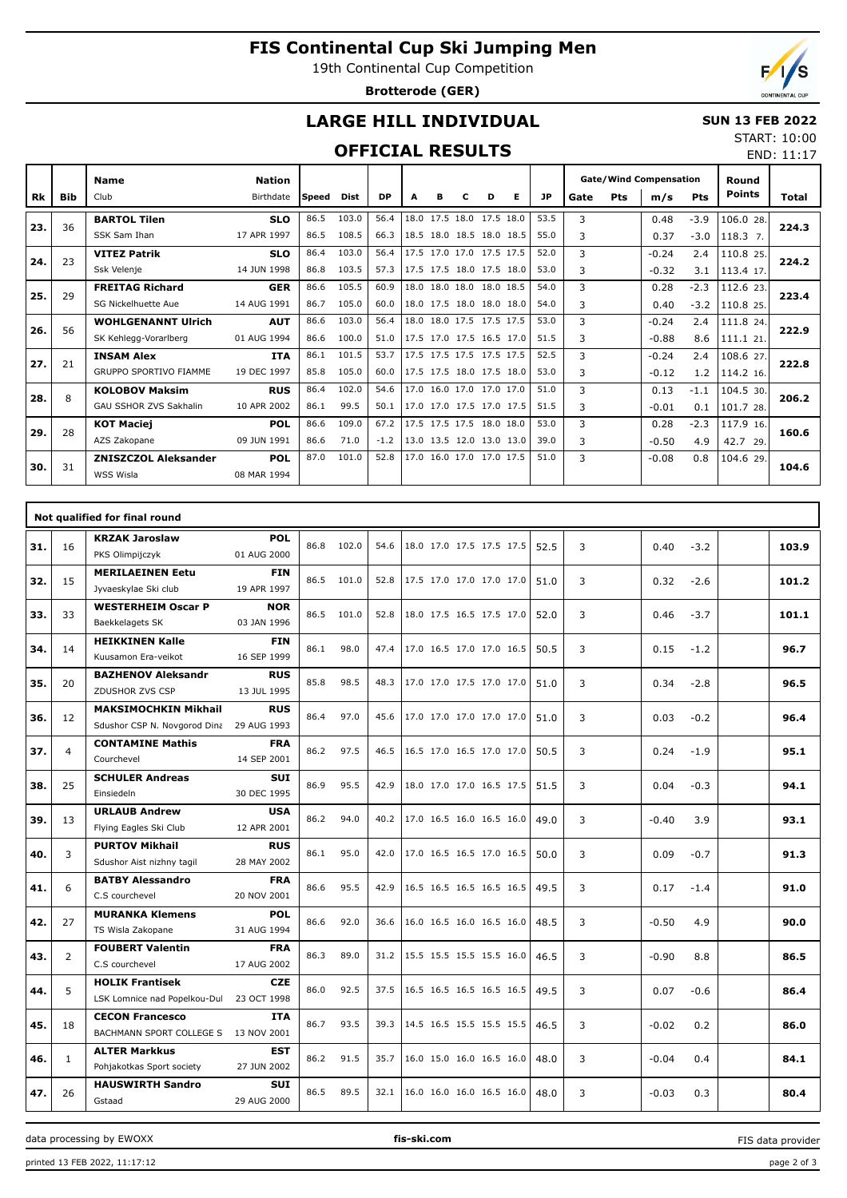# **FIS Continental Cup Ski Jumping Men**

19th Continental Cup Competition

**Brotterode (GER)**



END: 11:17

## **LARGE HILL INDIVIDUAL**

#### **SUN 13 FEB 2022** START: 10:00

## **OFFICIAL RESULTS**

|     |            | <b>Name</b>                   | <b>Nation</b> |        |       |           |      |           |                          |           |   |           | <b>Gate/Wind Compensation</b> |     |         | Round  |               |       |
|-----|------------|-------------------------------|---------------|--------|-------|-----------|------|-----------|--------------------------|-----------|---|-----------|-------------------------------|-----|---------|--------|---------------|-------|
| Rk  | <b>Bib</b> | Club                          | Birthdate     | lSpeed | Dist  | <b>DP</b> | A    | в         | с                        | D         | Е | <b>JP</b> | Gate                          | Pts | m/s     | Pts    | <b>Points</b> | Total |
| 23. | 36         | <b>BARTOL Tilen</b>           | <b>SLO</b>    | 86.5   | 103.0 | 56.4      | 18.0 | 17.5 18.0 |                          | 17.5 18.0 |   | 53.5      | 3                             |     | 0.48    | $-3.9$ | 106.0 28.     | 224.3 |
|     |            | SSK Sam Ihan                  | 17 APR 1997   | 86.5   | 108.5 | 66.3      |      |           | 18.5 18.0 18.5 18.0 18.5 |           |   | 55.0      | 3                             |     | 0.37    | $-3.0$ | 118.3 7.      |       |
| 24. | 23         | <b>VITEZ Patrik</b>           | <b>SLO</b>    | 86.4   | 103.0 | 56.4      |      |           | 17.5 17.0 17.0 17.5 17.5 |           |   | 52.0      | 3                             |     | $-0.24$ | 2.4    | 110.8 25.     | 224.2 |
|     |            | Ssk Velenje                   | 14 JUN 1998   | 86.8   | 103.5 | 57.3      |      |           | 17.5 17.5 18.0 17.5 18.0 |           |   | 53.0      | 3                             |     | $-0.32$ | 3.1    | 113.4 17.     |       |
| 25. | 29         | <b>FREITAG Richard</b>        | <b>GER</b>    | 86.6   | 105.5 | 60.9      |      |           | 18.0 18.0 18.0 18.0 18.5 |           |   | 54.0      | 3                             |     | 0.28    | $-2.3$ | 112.6 23.     | 223.4 |
|     |            | SG Nickelhuette Aue           | 14 AUG 1991   | 86.7   | 105.0 | 60.0      |      |           | 18.0 17.5 18.0 18.0 18.0 |           |   | 54.0      | 3                             |     | 0.40    | $-3.2$ | 110.8 25.     |       |
| 26. | 56         | <b>WOHLGENANNT Ulrich</b>     | <b>AUT</b>    | 86.6   | 103.0 | 56.4      |      |           | 18.0 18.0 17.5 17.5 17.5 |           |   | 53.0      | 3                             |     | $-0.24$ | 2.4    | 111.8 24.     | 222.9 |
|     |            | SK Kehlegg-Vorarlberg         | 01 AUG 1994   | 86.6   | 100.0 | 51.0      |      |           | 17.5 17.0 17.5 16.5 17.0 |           |   | 51.5      | 3                             |     | $-0.88$ | 8.6    | 111.1 21.     |       |
| 27. | 21         | <b>INSAM Alex</b>             | <b>ITA</b>    | 86.1   | 101.5 | 53.7      |      |           | 17.5 17.5 17.5 17.5 17.5 |           |   | 52.5      | 3                             |     | $-0.24$ | 2.4    | 108.6 27.     | 222.8 |
|     |            | <b>GRUPPO SPORTIVO FIAMME</b> | 19 DEC 1997   | 85.8   | 105.0 | 60.0      |      |           | 17.5 17.5 18.0 17.5 18.0 |           |   | 53.0      | 3                             |     | $-0.12$ | 1.2    | 114.2 16.     |       |
| 28. | 8          | <b>KOLOBOV Maksim</b>         | <b>RUS</b>    | 86.4   | 102.0 | 54.6      |      |           | 17.0 16.0 17.0 17.0 17.0 |           |   | 51.0      | 3                             |     | 0.13    | $-1.1$ | 104.5 30.     | 206.2 |
|     |            | <b>GAU SSHOR ZVS Sakhalin</b> | 10 APR 2002   | 86.1   | 99.5  | 50.1      |      |           | 17.0 17.0 17.5 17.0 17.5 |           |   | 51.5      | 3                             |     | $-0.01$ | 0.1    | 101.7 28.     |       |
| 29. | 28         | <b>KOT Maciej</b>             | <b>POL</b>    | 86.6   | 109.0 | 67.2      |      |           | 17.5 17.5 17.5 18.0 18.0 |           |   | 53.0      | 3                             |     | 0.28    | $-2.3$ | 117.9 16.     | 160.6 |
|     |            | AZS Zakopane                  | 09 JUN 1991   | 86.6   | 71.0  | $-1.2$    |      |           | 13.0 13.5 12.0 13.0 13.0 |           |   | 39.0      | 3                             |     | $-0.50$ | 4.9    | 42.7<br>29.   |       |
| 30. | 31         | <b>ZNISZCZOL Aleksander</b>   | <b>POL</b>    | 87.0   | 101.0 | 52.8      |      |           | 17.0 16.0 17.0 17.0 17.5 |           |   | 51.0      | 3                             |     | $-0.08$ | 0.8    | 104.6 29.     | 104.6 |
|     |            | <b>WSS Wisla</b>              | 08 MAR 1994   |        |       |           |      |           |                          |           |   |           |                               |     |         |        |               |       |

|     |                | Not qualified for final round                        |                           |      |            |      |                               |  |      |   |                |       |
|-----|----------------|------------------------------------------------------|---------------------------|------|------------|------|-------------------------------|--|------|---|----------------|-------|
| 31. | 16             | <b>KRZAK Jaroslaw</b>                                | <b>POL</b>                |      | 86.8 102.0 | 54.6 | 18.0 17.0 17.5 17.5 17.5      |  | 52.5 | 3 | $-3.2$<br>0.40 | 103.9 |
|     |                | PKS Olimpijczyk                                      | 01 AUG 2000               |      |            |      |                               |  |      |   |                |       |
| 32. | 15             | <b>MERILAEINEN Eetu</b>                              | <b>FIN</b>                |      | 86.5 101.0 | 52.8 | 17.5 17.0 17.0 17.0 17.0      |  | 51.0 | 3 | 0.32<br>$-2.6$ | 101.2 |
|     |                | Jyvaeskylae Ski club                                 | 19 APR 1997               |      |            |      |                               |  |      |   |                |       |
| 33. | 33             | <b>WESTERHEIM Oscar P</b><br>Baekkelagets SK         | <b>NOR</b><br>03 JAN 1996 | 86.5 | 101.0      | 52.8 | 18.0 17.5 16.5 17.5 17.0      |  | 52.0 | 3 | 0.46<br>$-3.7$ | 101.1 |
|     |                | <b>HEIKKINEN Kalle</b>                               | <b>FIN</b>                |      |            |      |                               |  |      |   |                |       |
| 34. | 14             | Kuusamon Era-veikot                                  | 16 SEP 1999               | 86.1 | 98.0       | 47.4 | 17.0 16.5 17.0 17.0 16.5      |  | 50.5 | 3 | 0.15<br>$-1.2$ | 96.7  |
|     |                | <b>BAZHENOV Aleksandr</b>                            | <b>RUS</b>                | 85.8 | 98.5       | 48.3 | 17.0 17.0 17.5 17.0 17.0      |  |      |   |                |       |
| 35. | 20             | ZDUSHOR ZVS CSP                                      | 13 JUL 1995               |      |            |      |                               |  | 51.0 | 3 | 0.34<br>$-2.8$ | 96.5  |
| 36. | 12             | <b>MAKSIMOCHKIN Mikhail</b>                          | <b>RUS</b>                | 86.4 | 97.0       | 45.6 | 17.0 17.0 17.0 17.0 17.0      |  | 51.0 | 3 | 0.03<br>$-0.2$ | 96.4  |
|     |                | Sdushor CSP N. Novgorod Dina                         | 29 AUG 1993               |      |            |      |                               |  |      |   |                |       |
| 37. | 4              | <b>CONTAMINE Mathis</b>                              | <b>FRA</b>                | 86.2 | 97.5       | 46.5 | 16.5 17.0 16.5 17.0 17.0      |  | 50.5 | 3 | $-1.9$<br>0.24 | 95.1  |
|     |                | Courchevel                                           | 14 SEP 2001               |      |            |      |                               |  |      |   |                |       |
| 38. | 25             | <b>SCHULER Andreas</b>                               | <b>SUI</b>                | 86.9 | 95.5       | 42.9 | 18.0 17.0 17.0 16.5 17.5      |  | 51.5 | 3 | 0.04<br>$-0.3$ | 94.1  |
|     |                | Einsiedeln                                           | 30 DEC 1995               |      |            |      |                               |  |      |   |                |       |
| 39. | 13             | <b>URLAUB Andrew</b>                                 | <b>USA</b>                | 86.2 | 94.0       | 40.2 | 17.0 16.5 16.0 16.5 16.0      |  | 49.0 | 3 | 3.9<br>$-0.40$ | 93.1  |
|     |                | Flying Eagles Ski Club                               | 12 APR 2001               |      |            |      |                               |  |      |   |                |       |
| 40. | 3              | <b>PURTOV Mikhail</b>                                | <b>RUS</b>                | 86.1 | 95.0       | 42.0 | 17.0 16.5 16.5 17.0 16.5      |  | 50.0 | 3 | 0.09<br>$-0.7$ | 91.3  |
|     |                | Sdushor Aist nizhny tagil<br><b>BATBY Alessandro</b> | 28 MAY 2002<br><b>FRA</b> |      |            |      |                               |  |      |   |                |       |
| 41. | 6              | C.S courchevel                                       | 20 NOV 2001               | 86.6 | 95.5       | 42.9 | 16.5 16.5 16.5 16.5 16.5      |  | 49.5 | 3 | 0.17<br>$-1.4$ | 91.0  |
|     |                | <b>MURANKA Klemens</b>                               | <b>POL</b>                |      |            |      |                               |  |      |   |                |       |
| 42. | 27             | TS Wisla Zakopane                                    | 31 AUG 1994               | 86.6 | 92.0       | 36.6 | 16.0 16.5 16.0 16.5 16.0      |  | 48.5 | 3 | 4.9<br>$-0.50$ | 90.0  |
|     |                | <b>FOUBERT Valentin</b>                              | <b>FRA</b>                |      |            |      |                               |  |      |   |                |       |
| 43. | $\overline{2}$ | C.S courchevel                                       | 17 AUG 2002               | 86.3 | 89.0       | 31.2 | 15.5 15.5 15.5 15.5 16.0 46.5 |  |      | 3 | $-0.90$<br>8.8 | 86.5  |
| 44. | 5              | <b>HOLIK Frantisek</b>                               | <b>CZE</b>                | 86.0 | 92.5       | 37.5 | 16.5 16.5 16.5 16.5 16.5      |  | 49.5 | 3 | 0.07<br>$-0.6$ | 86.4  |
|     |                | LSK Lomnice nad Popelkou-Dul                         | 23 OCT 1998               |      |            |      |                               |  |      |   |                |       |
| 45. | 18             | <b>CECON Francesco</b>                               | <b>ITA</b>                | 86.7 | 93.5       | 39.3 | 14.5 16.5 15.5 15.5 15.5      |  | 46.5 | 3 | $-0.02$<br>0.2 | 86.0  |
|     |                | BACHMANN SPORT COLLEGE S                             | 13 NOV 2001               |      |            |      |                               |  |      |   |                |       |
| 46. | $\mathbf{1}$   | <b>ALTER Markkus</b>                                 | <b>EST</b>                | 86.2 | 91.5       | 35.7 | 16.0 15.0 16.0 16.5 16.0      |  | 48.0 | 3 | $-0.04$<br>0.4 | 84.1  |
|     |                | Pohjakotkas Sport society                            | 27 JUN 2002               |      |            |      |                               |  |      |   |                |       |
| 47. | 26             | <b>HAUSWIRTH Sandro</b>                              | <b>SUI</b>                | 86.5 | 89.5       | 32.1 | 16.0 16.0 16.0 16.5 16.0      |  | 48.0 | 3 | $-0.03$<br>0.3 | 80.4  |
|     |                | Gstaad                                               | 29 AUG 2000               |      |            |      |                               |  |      |   |                |       |

data processing by EWOXX **fis-ski.com**

printed 13 FEB 2022, 11:17:12 page 2 of 3

FIS data provider